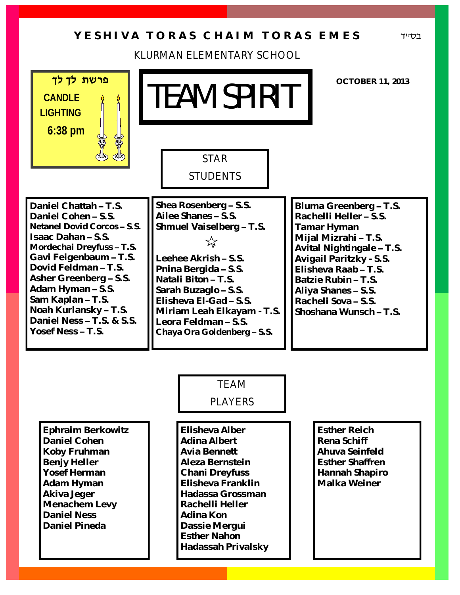## Y E S H I V A T O R A S C H A I M T O R A S E M E S

KLURMAN ELEMENTARY SCHOOL

| פרשת לך לך<br>CANDLE<br><b>LIGHTING</b>                                                                                                                                                                                                                                                                                   | ITEAM SPIRIT                                                                                                                                                                                                                                                                                               | <b>OCTOBER 11, 2013</b>                                                                                                                                                                                                                                              |
|---------------------------------------------------------------------------------------------------------------------------------------------------------------------------------------------------------------------------------------------------------------------------------------------------------------------------|------------------------------------------------------------------------------------------------------------------------------------------------------------------------------------------------------------------------------------------------------------------------------------------------------------|----------------------------------------------------------------------------------------------------------------------------------------------------------------------------------------------------------------------------------------------------------------------|
| $6:38$ pm                                                                                                                                                                                                                                                                                                                 | <b>STAR</b><br><b>STUDENTS</b>                                                                                                                                                                                                                                                                             |                                                                                                                                                                                                                                                                      |
| Daniel Chattah - T.S.<br>Daniel Cohen-S.S.<br>Netanel Dovid Corcos - S.S.<br>Isaac Dahan - S.S.<br>Mordechai Dreyfuss-T.S.<br>Gavi Feigenbaum - T.S.<br>Dovid Feldman-T.S.<br>Asher Greenberg - S.S.<br>Adam Hyman - S.S.<br>Sam Kaplan - T.S.<br>Noah Kurlansky - T.S.<br>Daniel Ness - T.S. & S.S.<br>Yosef Ness - T.S. | Shea Rosenberg - S.S.<br>Ailee Shanes - S.S.<br>Shmuel Vaiselberg - T.S.<br>$\frac{1}{\sqrt{2}}$<br>Leehee Akrish - S.S.<br>Pnina Bergida - S.S.<br>Natali Biton - T.S.<br>Sarah Buzaglo-S.S.<br>Elisheva El-Gad - S.S.<br>Miriam Leah Elkayam - T.S.<br>Leora Feldman-S.S.<br>Chaya Ora Goldenberg - S.S. | Bluma Greenberg - T.S.<br>Rachelli Heller - S.S.<br>Tamar Hyman<br>Mijal Mizrahi - T.S.<br>Avital Nightingale - T.S.<br>Avigail Paritzky - S.S.<br>Elisheva Raab-T.S.<br>Batzie Rubin - T.S.<br>Aliya Shanes - S.S.<br>Racheli Sova - S.S.<br>Shoshana Wunsch - T.S. |
|                                                                                                                                                                                                                                                                                                                           | <b>TEAM</b><br><b>PLAYERS</b>                                                                                                                                                                                                                                                                              |                                                                                                                                                                                                                                                                      |
| Ephraim Berkowitz<br>Daniel Cohen<br>Koby Fruhman<br>Benjy Heller<br>Yosef Herman<br>Adam Hyman<br>Akiva Jeger<br>Menachem Levy<br><b>Daniel Ness</b><br>Daniel Pineda                                                                                                                                                    | Elisheva Alber<br>Adina Albert<br>Avia Bennett<br>Aleza Bernstein<br>Chani Dreyfuss<br>Elisheva Franklin<br>Hadassa Grossman<br>Rachelli Heller<br>Adina Kon<br>Dassie Mergui<br><b>Esther Nahon</b><br>Hadassah Privalsky                                                                                 | <b>Esther Reich</b><br>Rena Schiff<br>Ahuva Seinfeld<br><b>Esther Shaffren</b><br>Hannah Shapiro<br>Malka Weiner                                                                                                                                                     |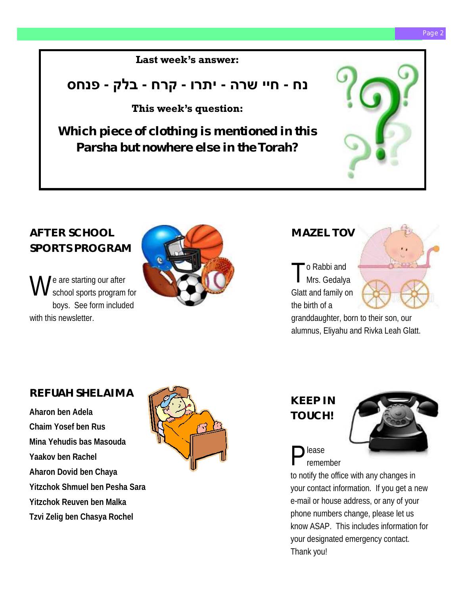#### **Last week's answer:**

## **נח - חיי שרה - יתרו - קרח - בלק - פנחס**

### **This week's question:**

**Which piece of clothing is mentioned in this Parsha but nowhere else in the Torah?**



## **AFTER SCHOOL SPORTS PROGRAM**

W  $\int e$  are starting our after school sports program for boys. See form included with this newsletter.



### **MAZEL TOV**

T o Rabbi and Mrs. Gedalya Glatt and family on the birth of a



granddaughter, born to their son, our alumnus, Eliyahu and Rivka Leah Glatt.

### **REFUAH SHELAIMA**

**Aharon ben Adela Chaim Yosef ben Rus Mina Yehudis bas Masouda Yaakov ben Rachel Aharon Dovid ben Chaya Yitzchok Shmuel ben Pesha Sara Yitzchok Reuven ben Malka Tzvi Zelig ben Chasya Rochel**







P lease remember

to notify the office with any changes in your contact information. If you get a new e-mail or house address, or any of your phone numbers change, please let us know ASAP. This includes information for your designated emergency contact. Thank you!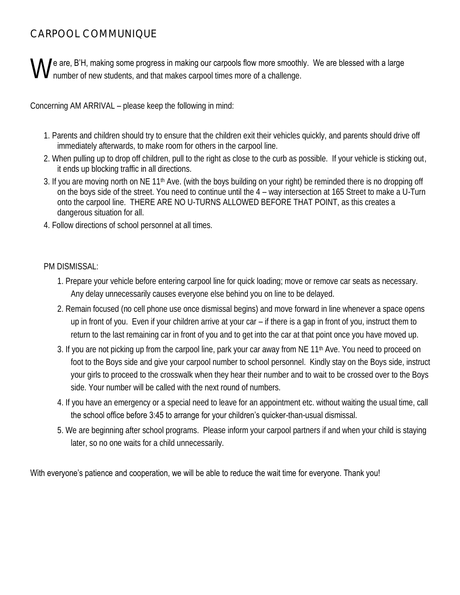### CARPOOL COMMUNIQUE

We are, B'H, making some progress in making our carpools flow more smoothly. We are blessed with a large number of new students, and that makes carpool times more of a challenge. number of new students, and that makes carpool times more of a challenge.

Concerning AM ARRIVAL – please keep the following in mind:

- 1. Parents and children should try to ensure that the children exit their vehicles quickly, and parents should drive off immediately afterwards, to make room for others in the carpool line.
- 2. When pulling up to drop off children, pull to the right as close to the curb as possible. If your vehicle is sticking out, it ends up blocking traffic in all directions.
- 3. If you are moving north on NE 11<sup>th</sup> Ave. (with the boys building on your right) be reminded there is no dropping off on the boys side of the street. You need to continue until the 4 – way intersection at 165 Street to make a U-Turn onto the carpool line. THERE ARE NO U-TURNS ALLOWED BEFORE THAT POINT, as this creates a dangerous situation for all.
- 4. Follow directions of school personnel at all times.

#### PM DISMISSAL:

- 1. Prepare your vehicle before entering carpool line for quick loading; move or remove car seats as necessary. Any delay unnecessarily causes everyone else behind you on line to be delayed.
- 2. Remain focused (no cell phone use once dismissal begins) and move forward in line whenever a space opens up in front of you. Even if your children arrive at your car – if there is a gap in front of you, instruct them to return to the last remaining car in front of you and to get into the car at that point once you have moved up.
- 3. If you are not picking up from the carpool line, park your car away from NE 11<sup>th</sup> Ave. You need to proceed on foot to the Boys side and give your carpool number to school personnel. Kindly stay on the Boys side, instruct your girls to proceed to the crosswalk when they hear their number and to wait to be crossed over to the Boys side. Your number will be called with the next round of numbers.
- 4. If you have an emergency or a special need to leave for an appointment etc. without waiting the usual time, call the school office before 3:45 to arrange for your children's quicker-than-usual dismissal.
- 5. We are beginning after school programs. Please inform your carpool partners if and when your child is staying later, so no one waits for a child unnecessarily.

#### With everyone's patience and cooperation, we will be able to reduce the wait time for everyone. Thank you!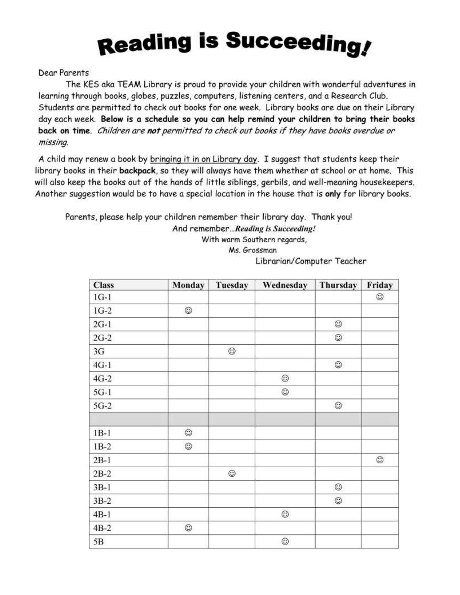# **Reading is Succeeding!**

**Dear Parents** 

The KES aka TEAM Library is proud to provide your children with wonderful adventures in learning through books, globes, puzzles, computers, listening centers, and a Research Club. Students are permitted to check out books for one week. Library books are due on their Library day each week. Below is a schedule so you can help remind your children to bring their books back on time. Children are not permitted to check out books if they have books overdue or missing.

A child may renew a book by bringing it in on Library day. I suggest that students keep their library books in their backpack, so they will always have them whether at school or at home. This will also keep the books out of the hands of little siblings, gerbils, and well-meaning housekeepers. Another suggestion would be to have a special location in the house that is only for library books.

Parents, please help your children remember their library day. Thank you!

And remember...Reading is Succeeding!

With warm Southern regards,

Ms. Grossman

Librarian/Computer Teacher

| <b>Class</b> | Monday     | Tuesday    | Wednesday  | Thursday   | Friday     |
|--------------|------------|------------|------------|------------|------------|
| $1G-1$       |            |            |            |            | $_{\odot}$ |
| $1G-2$       | $_{\odot}$ |            |            |            |            |
| $2G-1$       |            |            |            | $_{\odot}$ |            |
| $2G-2$       |            |            |            | $_{\odot}$ |            |
| 3G           |            | ٧          |            |            |            |
| $4G-1$       |            |            |            | $_{\odot}$ |            |
| $4G-2$       |            |            | $_{\odot}$ |            |            |
| $5G-1$       |            |            | $_{\odot}$ |            |            |
| $5G-2$       |            |            |            | $_{\odot}$ |            |
| $1B-1$       | ☺          |            |            |            |            |
| $1B-2$       | ☺          |            |            |            |            |
| $2B-1$       |            |            |            |            | $_{\odot}$ |
| $2B-2$       |            | $_{\odot}$ |            |            |            |
| $3B-1$       |            |            |            | $_{\odot}$ |            |
| $3B-2$       |            |            |            | $_{\odot}$ |            |
| $4B-1$       |            |            | $_{\odot}$ |            |            |
| $4B-2$       | $_{\odot}$ |            |            |            |            |
| 5B           |            |            | $_{\odot}$ |            |            |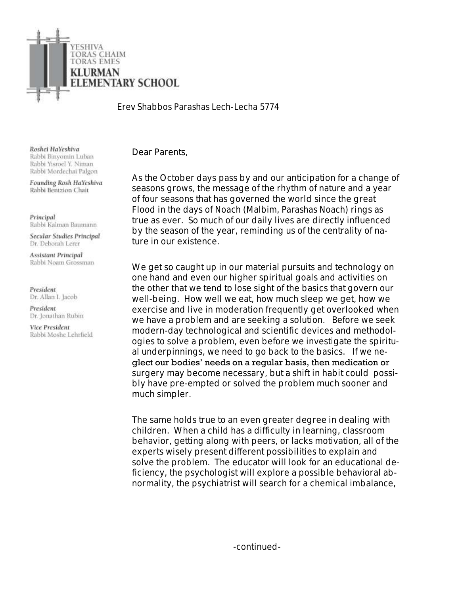

*Erev Shabbos Parashas Lech-Lecha 5774*

Roshei HaYeshiva Rabbi Binyomin Luban Rabbi Yisroel Y. Niman Rabbi Mordechai Palgon

Founding Rosh HaYeshiva Rabbi Bentzion Chait

Principal Rabbi Kalman Baumann

Secular Studies Principal Dr. Deborah Lerer

**Assistant Principal** Rabbi Noam Grossman

President Dr. Allan I. Jacob

President Dr. Jonathan Rubin

Vice President Rabbi Moshe Lehrfield Dear Parents,

As the October days pass by and our anticipation for a change of seasons grows, the message of the rhythm of nature and a year of four seasons that has governed the world since the great Flood in the days of *Noach* (*Malbim, Parashas Noach*) rings as true as ever. So much of our daily lives are directly influenced by the season of the year, reminding us of the centrality of nature in our existence.

We get so caught up in our material pursuits and technology on one hand and even our higher spiritual goals and activities on the other that we tend to lose sight of the basics that govern our well-being. How well we eat, how much sleep we get, how we exercise and live in moderation frequently get overlooked when we have a problem and are seeking a solution. Before we seek modern-day technological and scientific devices and methodologies to solve a problem, even before we investigate the spiritual underpinnings, we need to go back to the basics. If we neglect our bodies' needs on a regular basis, then medication or surgery may become necessary, but a shift in habit could possibly have pre-empted or solved the problem much sooner and much simpler.

The same holds true to an even greater degree in dealing with children. When a child has a difficulty in learning, classroom behavior, getting along with peers, or lacks motivation, all of the experts wisely present different possibilities to explain and solve the problem. The educator will look for an educational deficiency, the psychologist will explore a possible behavioral abnormality, the psychiatrist will search for a chemical imbalance,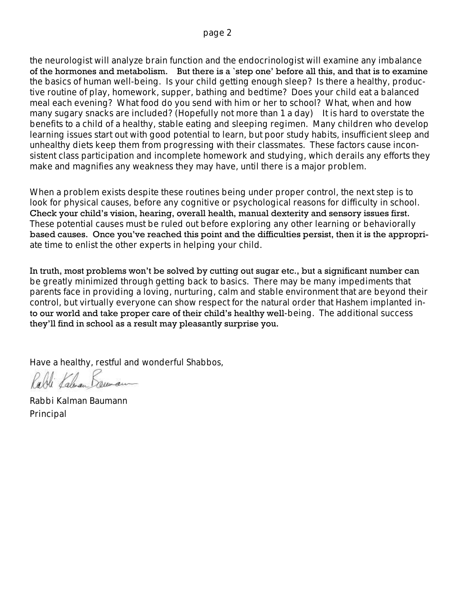the neurologist will analyze brain function and the endocrinologist will examine any imbalance of the hormones and metabolism. But there is a `step one' before all this, and that is to examine the basics of human well-being. Is your child getting enough sleep? Is there a healthy, productive routine of play, homework, supper, bathing and bedtime? Does your child eat a balanced meal each evening? What food do you send with him or her to school? What, when and how many sugary snacks are included? (Hopefully not more than 1 a day) It is hard to overstate the benefits to a child of a healthy, stable eating and sleeping regimen. Many children who develop learning issues start out with good potential to learn, but poor study habits, insufficient sleep and unhealthy diets keep them from progressing with their classmates. These factors cause inconsistent class participation and incomplete homework and studying, which derails any efforts they make and magnifies any weakness they may have, until there is a major problem.

When a problem exists despite these routines being under proper control, the next step is to look for physical causes, before any cognitive or psychological reasons for difficulty in school. Check your child's vision, hearing, overall health, manual dexterity and sensory issues first. These potential causes must be ruled out before exploring any other learning or behaviorally based causes. Once you've reached this point and the difficulties persist, then it is the appropriate time to enlist the other experts in helping your child.

In truth, most problems won't be solved by cutting out sugar etc., but a significant number can be greatly minimized through getting back to basics. There may be many impediments that parents face in providing a loving, nurturing, calm and stable environment that are beyond their control, but virtually everyone can show respect for the natural order that *Hashem* implanted into our world and take proper care of their child's healthy well-being. The additional success they'll find in school as a result may pleasantly surprise you.

Have a healthy, restful and wonderful *Shabbos*,

Rabbi Kalman Baumann Principal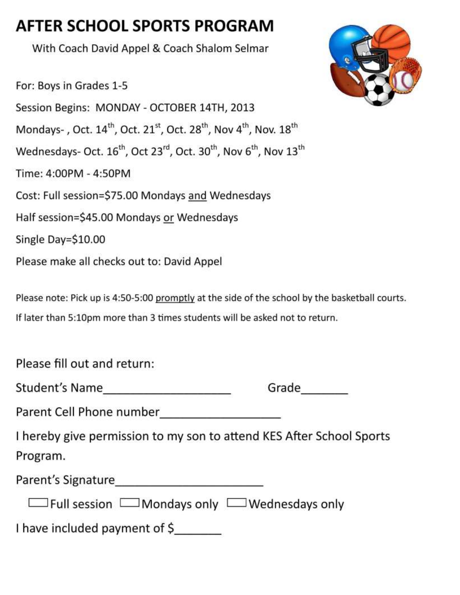## AFTER SCHOOL SPORTS PROGRAM

With Coach David Appel & Coach Shalom Selmar

For: Boys in Grades 1-5 Session Begins: MONDAY - OCTOBER 14TH, 2013 Mondays-, Oct. 14<sup>th</sup>, Oct. 21<sup>st</sup>, Oct. 28<sup>th</sup>, Nov 4<sup>th</sup>, Nov. 18<sup>th</sup> Wednesdays- Oct. 16<sup>th</sup>, Oct 23<sup>rd</sup>, Oct. 30<sup>th</sup>, Nov 6<sup>th</sup>, Nov 13<sup>th</sup> Time: 4:00PM - 4:50PM Cost: Full session=\$75.00 Mondays and Wednesdays Half session=\$45.00 Mondays or Wednesdays Single Day=\$10.00 Please make all checks out to: David Appel

Please note: Pick up is 4:50-5:00 promptly at the side of the school by the basketball courts. If later than 5:10pm more than 3 times students will be asked not to return.

Please fill out and return:

| Student's Name |  |
|----------------|--|
|----------------|--|

| ٠ |
|---|
|   |

I hereby give permission to my son to attend KES After School Sports Program.

Parent's Signature **Example 2018** 

 $\Box$  Full session  $\Box$  Mondays only  $\Box$  Wednesdays only

I have included payment of \$

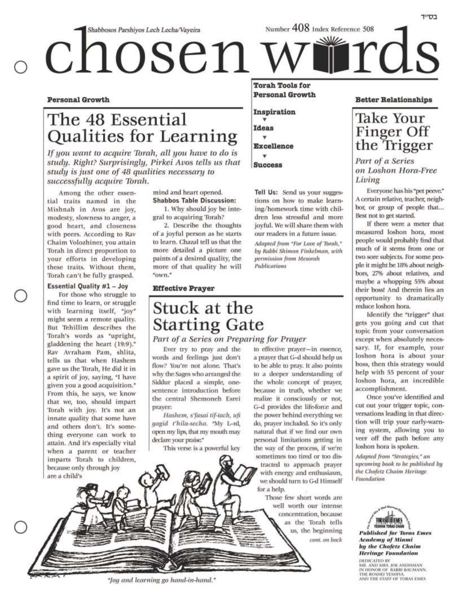Number 408 Index Reference 508 Shabbosos Parshiyos Lech Lecha/Vayeira ii rds ° chosen **Torah Tools for** 

**Personal Growth** 

Tell Us: Send us your sugges-

tions on how to make learn-

ing/homework time with chil-

dren less stressful and more

joyful. We will share them with

Adapted from "For Love of Torah,"

by Rabbi Shimon Finkelman, with

permission from Mesorah

**Publications** 

our readers in a future issue.

Inspiration

**Ideas** 

v **Excellence** 

٠

**Success** 

#### **Personal Growth**

## The 48 Essential Qualities for Learning

If you want to acquire Torah, all you have to do is study. Right? Surprisingly, Pirkei Avos tells us that study is just one of 48 qualities necessary to successfully acquire Torah.

Among the other essential traits named in the Mishnah in Avos are joy, modesty, slowness to anger, a good heart, and closeness with peers. According to Rav Chaim Volozhiner, you attain Torah in direct proportion to your efforts in developing these traits. Without them, Torah can't be fully grasped.

#### **Essential Quality #1 - Joy**

For those who struggle to find time to learn, or struggle with learning itself, "joy" might seem a remote quality. But Tehillim describes the Torah's words as "upright, gladdening the heart (19:9)." Rav Avraham Pam, shlita, tells us that when Hashem gave us the Torah, He did it in a spirit of joy, saying, "I have given you a good acquisition." From this, he says, we know that we, too, should impart Torah with joy. It's not an innate quality that some have and others don't. It's something everyone can work to attain. And it's especially vital when a parent or teacher imparts Torah to children, because only through joy are a child's

mind and heart opened. **Shabbos Table Discussion:** 

1. Why should joy be integral to acquiring Torah?

2. Describe the thoughts of a joyful person as he starts to learn. Chazal tell us that the more detailed a picture one paints of a desired quality, the more of that quality he will "own."

#### **Effective Prayer**

## Stuck at the **Starting Gate**

#### Part of a Series on Preparing for Prayer

Ever try to pray and the words and feelings just don't flow? You're not alone. That's why the Sages who arranged the Siddur placed a simple, onesentence introduction before the central Shemoneh Esrei prayer:

Hashem, s'fasai tif-tach, ufi yagid t'hila-secha. "My L-rd, open my lips, that my mouth may declare your praise."

This verse is a powerful key

to effective prayer-in essence, a prayer that G-d should help us to be able to pray. It also points to a deeper understanding of the whole concept of prayer, because in truth, whether we realize it consciously or not, G-d provides the life-force and the power behind everything we do, prayer included. So it's only natural that if we find our own personal limitations getting in the way of the process, if we're sometimes too tired or too distracted to approach prayer with energy and enthusiasm. we should turn to G-d Himself for a help.

Those few short words are well worth our intense concentration, because as the Torah tells us, the beginning cont. on back

#### **Better Relationships**

בס״ד

## **Take Your** Finger Off<br>the Trigger

Part of a Series on Loshon Hora-Free Living

Everyone has his "pet peeve." A certain relative, teacher, neighbor, or group of people that... Best not to get started.

If there were a meter that measured loshon hora, most people would probably find that much of it stems from one or two sore subjects. For some people it might be 18% about neighbors, 27% about relatives, and maybe a whopping 55% about their boss! And therein lies an opportunity to dramatically reduce loshon hora.

Identify the "trigger" that gets you going and cut that topic from your conversation except when absolutely necessary. If, for example, your loshon hora is about your boss, then this strategy would help with 55 percent of your loshon hora, an incredible accomplishment.

Once you've identified and cut out your trigger topic, conversations leading in that direction will trip your early-warning system, allowing you to veer off the path before any loshon hora is spoken.

Adapted from "Strategies," an upcoming book to be published by the Chofetz Chaim Heritage Foundation

### **Published for Toras Emes Academy of Miami** by the Chofetz Chaim **Heritage Foundation**

DEDRCATED BY MR. AND MRS. JOE ANDISMAN<br>IN HONOR OF RABBI BAUMANN, THE ROSHEI YESHIVA. AND THE STAFF OF TORAS EMES

"Joy and learning go hand-in-hand."